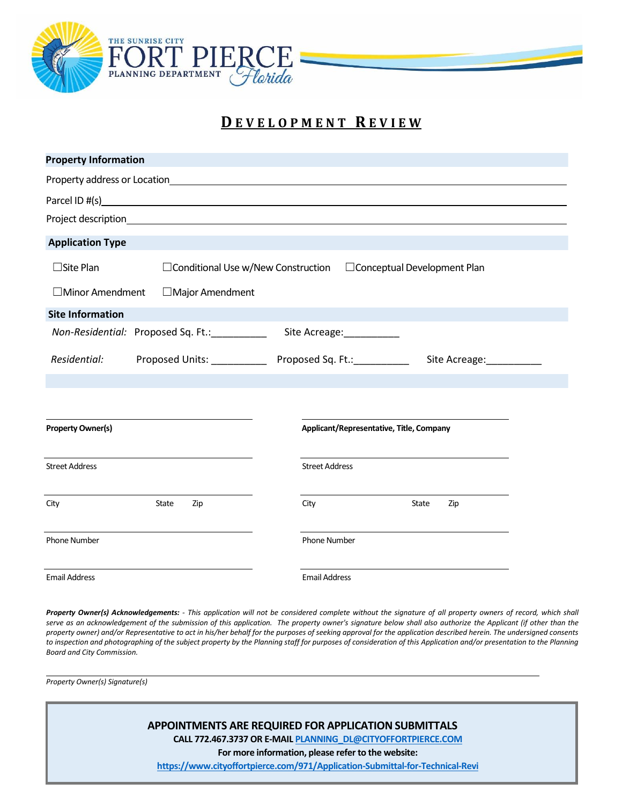

## **D E V E L O P M E N T R E V I E W**

| <b>Property Information</b>                |                                                                                                                                                                                                                               |
|--------------------------------------------|-------------------------------------------------------------------------------------------------------------------------------------------------------------------------------------------------------------------------------|
|                                            | Property address or Location and American control of the Control of The Control of the Control of the Control of the Control of the Control of the Control of the Control of the Control of the Control of the Control of the |
|                                            |                                                                                                                                                                                                                               |
|                                            |                                                                                                                                                                                                                               |
| <b>Application Type</b>                    |                                                                                                                                                                                                                               |
| $\Box$ Site Plan                           | □ Conditional Use w/New Construction □ Conceptual Development Plan                                                                                                                                                            |
| $\Box$ Minor Amendment<br>□Major Amendment |                                                                                                                                                                                                                               |
| <b>Site Information</b>                    |                                                                                                                                                                                                                               |
| Non-Residential: Proposed Sq. Ft.:         | Site Acreage:___________                                                                                                                                                                                                      |
| Residential:                               | Proposed Units: Proposed Sq. Ft.: Proposed Sq. Ft.:<br>Site Acreage: ___________                                                                                                                                              |
|                                            |                                                                                                                                                                                                                               |
| <b>Property Owner(s)</b>                   | Applicant/Representative, Title, Company                                                                                                                                                                                      |
| <b>Street Address</b>                      | <b>Street Address</b>                                                                                                                                                                                                         |
| State<br>City<br>Zip                       | City<br>State<br>Zip                                                                                                                                                                                                          |
| Phone Number                               | <b>Phone Number</b>                                                                                                                                                                                                           |
| <b>Email Address</b>                       | <b>Email Address</b>                                                                                                                                                                                                          |

Property Owner(s) Acknowledgements: - This application will not be considered complete without the signature of all property owners of record, which shall serve as an acknowledgement of the submission of this application. The property owner's signature below shall also authorize the Applicant (if other than the property owner) and/or Representative to act in his/her behalf for the purposes of seeking approval for the application described herein. The undersigned consents *to inspection and photographing of the subject property by the Planning staff for purposes of consideration of this Application and/or presentation to the Planning Board and City Commission.*

*Property Owner(s) Signature(s)*

**APPOINTMENTS ARE REQUIRED FOR APPLICATION SUBMITTALS CALL 772.467.3737 OR E-MAI[L PLANNING\\_DL@CITYOFFORTPIERCE.COM](mailto:PLANNING_DL@CITYOFFORTPIERCE.COM)**

**For more information, please refer to the website:**

**<https://www.cityoffortpierce.com/971/Application-Submittal-for-Technical-Revi>**